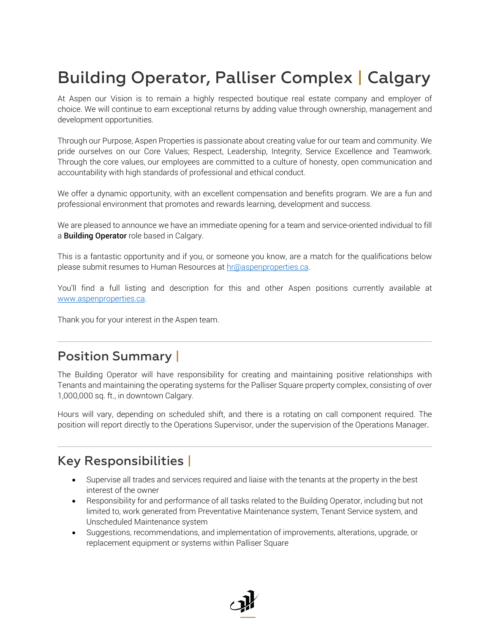# Building Operator, Palliser Complex | Calgary

At Aspen our Vision is to remain a highly respected boutique real estate company and employer of choice. We will continue to earn exceptional returns by adding value through ownership, management and development opportunities.

Through our Purpose, Aspen Properties is passionate about creating value for our team and community. We pride ourselves on our Core Values; Respect, Leadership, Integrity, Service Excellence and Teamwork. Through the core values, our employees are committed to a culture of honesty, open communication and accountability with high standards of professional and ethical conduct.

We offer a dynamic opportunity, with an excellent compensation and benefits program. We are a fun and professional environment that promotes and rewards learning, development and success.

We are pleased to announce we have an immediate opening for a team and service-oriented individual to fill a Building Operator role based in Calgary.

This is a fantastic opportunity and if you, or someone you know, are a match for the qualifications below please submit resumes to Human Resources at [hr@aspenproperties.ca.](mailto:hr@aspenproperties.ca)

You'll find a full listing and description for this and other Aspen positions currently available at [www.aspenproperties.ca.](https://www.aspenproperties.ca/)

Thank you for your interest in the Aspen team.

### Position Summary |

The Building Operator will have responsibility for creating and maintaining positive relationships with Tenants and maintaining the operating systems for the Palliser Square property complex, consisting of over 1,000,000 sq. ft., in downtown Calgary.

Hours will vary, depending on scheduled shift, and there is a rotating on call component required. The position will report directly to the Operations Supervisor, under the supervision of the Operations Manager.

## Key Responsibilities |

- Supervise all trades and services required and liaise with the tenants at the property in the best interest of the owner
- Responsibility for and performance of all tasks related to the Building Operator, including but not limited to, work generated from Preventative Maintenance system, Tenant Service system, and Unscheduled Maintenance system
- Suggestions, recommendations, and implementation of improvements, alterations, upgrade, or replacement equipment or systems within Palliser Square